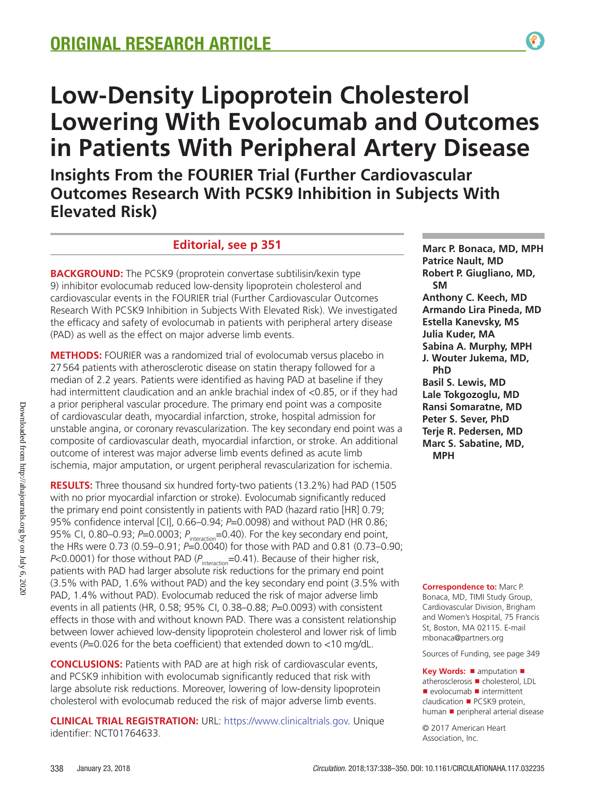# **Low-Density Lipoprotein Cholesterol Lowering With Evolocumab and Outcomes in Patients With Peripheral Artery Disease**

**Insights From the FOURIER Trial (Further Cardiovascular Outcomes Research With PCSK9 Inhibition in Subjects With Elevated Risk)**

#### **Editorial, see p 351**

**BACKGROUND:** The PCSK9 (proprotein convertase subtilisin/kexin type 9) inhibitor evolocumab reduced low-density lipoprotein cholesterol and cardiovascular events in the FOURIER trial (Further Cardiovascular Outcomes Research With PCSK9 Inhibition in Subjects With Elevated Risk). We investigated the efficacy and safety of evolocumab in patients with peripheral artery disease (PAD) as well as the effect on major adverse limb events.

**METHODS:** FOURIER was a randomized trial of evolocumab versus placebo in 27564 patients with atherosclerotic disease on statin therapy followed for a median of 2.2 years. Patients were identified as having PAD at baseline if they had intermittent claudication and an ankle brachial index of <0.85, or if they had a prior peripheral vascular procedure. The primary end point was a composite of cardiovascular death, myocardial infarction, stroke, hospital admission for unstable angina, or coronary revascularization. The key secondary end point was a composite of cardiovascular death, myocardial infarction, or stroke. An additional outcome of interest was major adverse limb events defined as acute limb ischemia, major amputation, or urgent peripheral revascularization for ischemia.

**RESULTS:** Three thousand six hundred forty-two patients (13.2%) had PAD (1505 with no prior myocardial infarction or stroke). Evolocumab significantly reduced the primary end point consistently in patients with PAD (hazard ratio [HR] 0.79; 95% confidence interval [CI], 0.66–0.94; *P*=0.0098) and without PAD (HR 0.86; 95% CI, 0.80–0.93; *P*=0.0003; *P*interaction=0.40). For the key secondary end point, the HRs were 0.73 (0.59–0.91; *P*=0.0040) for those with PAD and 0.81 (0.73–0.90; *P*<0.0001) for those without PAD ( $P_{interaction}$ =0.41). Because of their higher risk, patients with PAD had larger absolute risk reductions for the primary end point (3.5% with PAD, 1.6% without PAD) and the key secondary end point (3.5% with PAD, 1.4% without PAD). Evolocumab reduced the risk of major adverse limb events in all patients (HR, 0.58; 95% CI, 0.38–0.88; *P*=0.0093) with consistent effects in those with and without known PAD. There was a consistent relationship between lower achieved low-density lipoprotein cholesterol and lower risk of limb events (*P*=0.026 for the beta coefficient) that extended down to <10 mg/dL.

**CONCLUSIONS:** Patients with PAD are at high risk of cardiovascular events, and PCSK9 inhibition with evolocumab significantly reduced that risk with large absolute risk reductions. Moreover, lowering of low-density lipoprotein cholesterol with evolocumab reduced the risk of major adverse limb events.

**CLINICAL TRIAL REGISTRATION:** URL: https://www.clinicaltrials.gov. Unique identifier: NCT01764633.

**Marc P. Bonaca, MD, MPH Patrice Nault, MD Robert P. Giugliano, MD, SM Anthony C. Keech, MD Armando Lira Pineda, MD Estella Kanevsky, MS Julia Kuder, MA Sabina A. Murphy, MPH J. Wouter Jukema, MD, PhD Basil S. Lewis, MD Lale Tokgozoglu, MD Ransi Somaratne, MD Peter S. Sever, PhD Terje R. Pedersen, MD Marc S. Sabatine, MD, MPH**

**Correspondence to:** Marc P. Bonaca, MD, TIMI Study Group, Cardiovascular Division, Brigham and Women's Hospital, 75 Francis St, Boston, MA 02115. E-mail [mbonaca@partners.org](mailto:mbonaca@partners.org)

Sources of Funding, see page 349

**Key Words:** ■ amputation ■ atherosclerosis ◼ cholesterol, LDL ■ evolocumab ■ intermittent claudication ◼ PCSK9 protein, human ◼ peripheral arterial disease

© 2017 American Heart Association, Inc.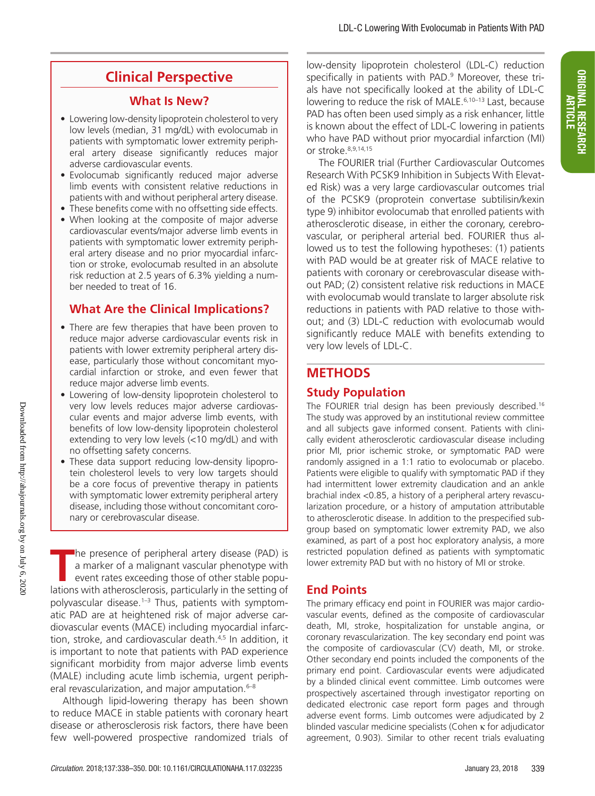## **Clinical Perspective**

#### **What Is New?**

- Lowering low-density lipoprotein cholesterol to very low levels (median, 31 mg/dL) with evolocumab in patients with symptomatic lower extremity peripheral artery disease significantly reduces major adverse cardiovascular events.
- Evolocumab significantly reduced major adverse limb events with consistent relative reductions in patients with and without peripheral artery disease.
- These benefits come with no offsetting side effects.
- When looking at the composite of major adverse cardiovascular events/major adverse limb events in patients with symptomatic lower extremity peripheral artery disease and no prior myocardial infarction or stroke, evolocumab resulted in an absolute risk reduction at 2.5 years of 6.3% yielding a number needed to treat of 16.

#### **What Are the Clinical Implications?**

- There are few therapies that have been proven to reduce major adverse cardiovascular events risk in patients with lower extremity peripheral artery disease, particularly those without concomitant myocardial infarction or stroke, and even fewer that reduce major adverse limb events.
- Lowering of low-density lipoprotein cholesterol to very low levels reduces major adverse cardiovascular events and major adverse limb events, with benefits of low low-density lipoprotein cholesterol extending to very low levels (<10 mg/dL) and with no offsetting safety concerns.
- These data support reducing low-density lipoprotein cholesterol levels to very low targets should be a core focus of preventive therapy in patients with symptomatic lower extremity peripheral artery disease, including those without concomitant coronary or cerebrovascular disease.

The presence of peripheral artery disease (PAD) is<br>a marker of a malignant vascular phenotype with<br>event rates exceeding those of other stable populations with atheresclerosis, particularly in the setting of a marker of a malignant vascular phenotype with event rates exceeding those of other stable populations with atherosclerosis, particularly in the setting of polyvascular disease. $1-3$  Thus, patients with symptomatic PAD are at heightened risk of major adverse cardiovascular events (MACE) including myocardial infarction, stroke, and cardiovascular death.4,5 In addition, it is important to note that patients with PAD experience significant morbidity from major adverse limb events (MALE) including acute limb ischemia, urgent peripheral revascularization, and major amputation.<sup>6-8</sup>

Although lipid-lowering therapy has been shown to reduce MACE in stable patients with coronary heart disease or atherosclerosis risk factors, there have been few well-powered prospective randomized trials of

low-density lipoprotein cholesterol (LDL-C) reduction specifically in patients with PAD.9 Moreover, these trials have not specifically looked at the ability of LDL-C lowering to reduce the risk of MALE.<sup>6,10-13</sup> Last, because PAD has often been used simply as a risk enhancer, little is known about the effect of LDL-C lowering in patients who have PAD without prior myocardial infarction (MI) or stroke. 8,9,14,15

The FOURIER trial (Further Cardiovascular Outcomes Research With PCSK9 Inhibition in Subjects With Elevated Risk) was a very large cardiovascular outcomes trial of the PCSK9 (proprotein convertase subtilisin/kexin type 9) inhibitor evolocumab that enrolled patients with atherosclerotic disease, in either the coronary, cerebrovascular, or peripheral arterial bed. FOURIER thus allowed us to test the following hypotheses: (1) patients with PAD would be at greater risk of MACE relative to patients with coronary or cerebrovascular disease without PAD; (2) consistent relative risk reductions in MACE with evolocumab would translate to larger absolute risk reductions in patients with PAD relative to those without; and (3) LDL-C reduction with evolocumab would significantly reduce MALE with benefits extending to very low levels of LDL-C.

## **METHODS**

### **Study Population**

The FOURIER trial design has been previously described.<sup>16</sup> The study was approved by an institutional review committee and all subjects gave informed consent. Patients with clinically evident atherosclerotic cardiovascular disease including prior MI, prior ischemic stroke, or symptomatic PAD were randomly assigned in a 1:1 ratio to evolocumab or placebo. Patients were eligible to qualify with symptomatic PAD if they had intermittent lower extremity claudication and an ankle brachial index <0.85, a history of a peripheral artery revascularization procedure, or a history of amputation attributable to atherosclerotic disease. In addition to the prespecified subgroup based on symptomatic lower extremity PAD, we also examined, as part of a post hoc exploratory analysis, a more restricted population defined as patients with symptomatic lower extremity PAD but with no history of MI or stroke.

## **End Points**

The primary efficacy end point in FOURIER was major cardiovascular events, defined as the composite of cardiovascular death, MI, stroke, hospitalization for unstable angina, or coronary revascularization. The key secondary end point was the composite of cardiovascular (CV) death, MI, or stroke. Other secondary end points included the components of the primary end point. Cardiovascular events were adjudicated by a blinded clinical event committee. Limb outcomes were prospectively ascertained through investigator reporting on dedicated electronic case report form pages and through adverse event forms. Limb outcomes were adjudicated by 2 blinded vascular medicine specialists (Cohen κ for adjudicator agreement, 0.903). Similar to other recent trials evaluating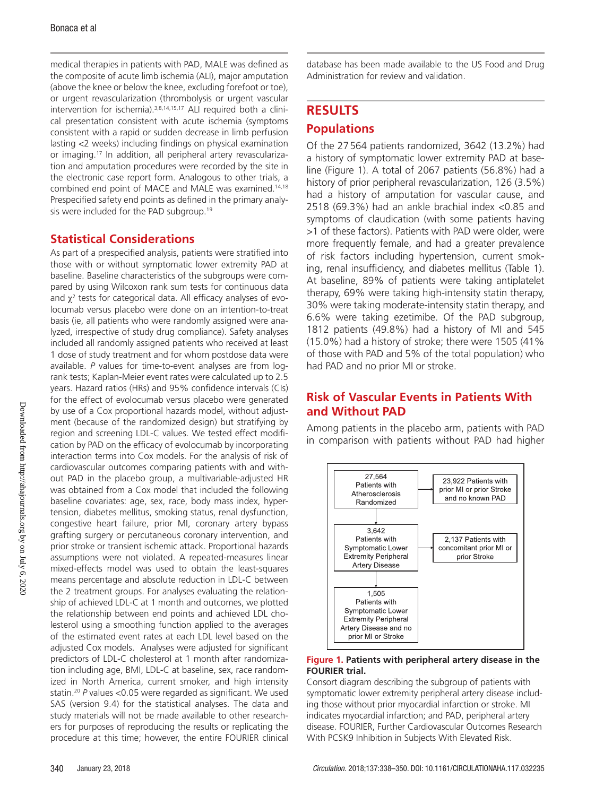medical therapies in patients with PAD, MALE was defined as the composite of acute limb ischemia (ALI), major amputation (above the knee or below the knee, excluding forefoot or toe), or urgent revascularization (thrombolysis or urgent vascular intervention for ischemia).3,8,14,15,17 ALI required both a clinical presentation consistent with acute ischemia (symptoms consistent with a rapid or sudden decrease in limb perfusion lasting <2 weeks) including findings on physical examination or imaging.17 In addition, all peripheral artery revascularization and amputation procedures were recorded by the site in the electronic case report form. Analogous to other trials, a combined end point of MACE and MALE was examined.14,18 Prespecified safety end points as defined in the primary analysis were included for the PAD subgroup.19

#### **Statistical Considerations**

As part of a prespecified analysis, patients were stratified into those with or without symptomatic lower extremity PAD at baseline. Baseline characteristics of the subgroups were compared by using Wilcoxon rank sum tests for continuous data and  $\chi^2$  tests for categorical data. All efficacy analyses of evolocumab versus placebo were done on an intention-to-treat basis (ie, all patients who were randomly assigned were analyzed, irrespective of study drug compliance). Safety analyses included all randomly assigned patients who received at least 1 dose of study treatment and for whom postdose data were available. *P* values for time-to-event analyses are from logrank tests; Kaplan-Meier event rates were calculated up to 2.5 years. Hazard ratios (HRs) and 95% confidence intervals (CIs) for the effect of evolocumab versus placebo were generated by use of a Cox proportional hazards model, without adjustment (because of the randomized design) but stratifying by region and screening LDL-C values. We tested effect modification by PAD on the efficacy of evolocumab by incorporating interaction terms into Cox models. For the analysis of risk of cardiovascular outcomes comparing patients with and without PAD in the placebo group, a multivariable-adjusted HR was obtained from a Cox model that included the following baseline covariates: age, sex, race, body mass index, hypertension, diabetes mellitus, smoking status, renal dysfunction, congestive heart failure, prior MI, coronary artery bypass grafting surgery or percutaneous coronary intervention, and prior stroke or transient ischemic attack. Proportional hazards assumptions were not violated. A repeated-measures linear mixed-effects model was used to obtain the least-squares means percentage and absolute reduction in LDL-C between the 2 treatment groups. For analyses evaluating the relationship of achieved LDL-C at 1 month and outcomes, we plotted the relationship between end points and achieved LDL cholesterol using a smoothing function applied to the averages of the estimated event rates at each LDL level based on the adjusted Cox models. Analyses were adjusted for significant predictors of LDL-C cholesterol at 1 month after randomization including age, BMI, LDL-C at baseline, sex, race randomized in North America, current smoker, and high intensity statin.20 *P* values <0.05 were regarded as significant. We used SAS (version 9.4) for the statistical analyses. The data and study materials will not be made available to other researchers for purposes of reproducing the results or replicating the procedure at this time; however, the entire FOURIER clinical database has been made available to the US Food and Drug Administration for review and validation.

## **RESULTS**

#### **Populations**

Of the 27564 patients randomized, 3642 (13.2%) had a history of symptomatic lower extremity PAD at baseline (Figure 1). A total of 2067 patients (56.8%) had a history of prior peripheral revascularization, 126 (3.5%) had a history of amputation for vascular cause, and 2518 (69.3%) had an ankle brachial index <0.85 and symptoms of claudication (with some patients having >1 of these factors). Patients with PAD were older, were more frequently female, and had a greater prevalence of risk factors including hypertension, current smoking, renal insufficiency, and diabetes mellitus (Table 1). At baseline, 89% of patients were taking antiplatelet therapy, 69% were taking high-intensity statin therapy, 30% were taking moderate-intensity statin therapy, and 6.6% were taking ezetimibe. Of the PAD subgroup, 1812 patients (49.8%) had a history of MI and 545 (15.0%) had a history of stroke; there were 1505 (41% of those with PAD and 5% of the total population) who had PAD and no prior MI or stroke.

#### **Risk of Vascular Events in Patients With and Without PAD**

Among patients in the placebo arm, patients with PAD in comparison with patients without PAD had higher



#### **Figure 1. Patients with peripheral artery disease in the FOURIER trial.**

Consort diagram describing the subgroup of patients with symptomatic lower extremity peripheral artery disease including those without prior myocardial infarction or stroke. MI indicates myocardial infarction; and PAD, peripheral artery disease. FOURIER, Further Cardiovascular Outcomes Research With PCSK9 Inhibition in Subjects With Elevated Risk.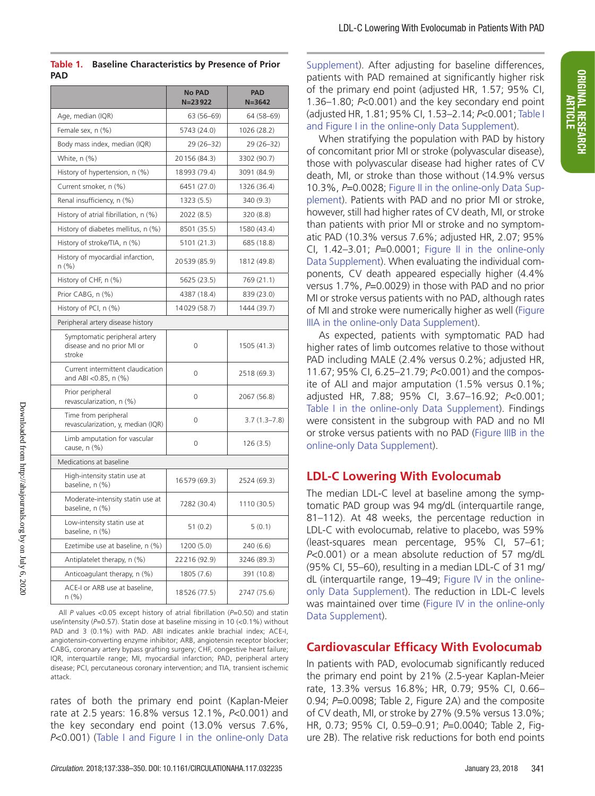|                                                                       | <b>No PAD</b><br>N=23922 | <b>PAD</b><br>$N = 3642$ |  |
|-----------------------------------------------------------------------|--------------------------|--------------------------|--|
| Age, median (IQR)                                                     | 63 (56-69)               | 64 (58-69)               |  |
| Female sex, n (%)                                                     | 5743 (24.0)              | 1026 (28.2)              |  |
| Body mass index, median (IQR)                                         | 29 (26-32)               | 29 (26-32)               |  |
| White, n (%)                                                          | 20156 (84.3)             | 3302 (90.7)              |  |
| History of hypertension, n (%)                                        | 18993 (79.4)             | 3091 (84.9)              |  |
| Current smoker, n (%)                                                 | 6451 (27.0)              | 1326 (36.4)              |  |
| Renal insufficiency, n (%)                                            | 1323 (5.5)               | 340 (9.3)                |  |
| History of atrial fibrillation, n (%)                                 | 2022 (8.5)               | 320 (8.8)                |  |
| History of diabetes mellitus, n (%)                                   | 8501 (35.5)              | 1580 (43.4)              |  |
| History of stroke/TIA, n (%)                                          | 5101 (21.3)              | 685 (18.8)               |  |
| History of myocardial infarction,<br>n (%)                            | 20539 (85.9)             | 1812 (49.8)              |  |
| History of CHF, n (%)                                                 | 5625 (23.5)              | 769 (21.1)               |  |
| Prior CABG, n (%)                                                     | 4387 (18.4)              | 839 (23.0)               |  |
| History of PCI, n (%)                                                 | 14029 (58.7)             | 1444 (39.7)              |  |
| Peripheral artery disease history                                     |                          |                          |  |
| Symptomatic peripheral artery<br>disease and no prior MI or<br>stroke | 0                        | 1505 (41.3)              |  |
| Current intermittent claudication<br>and ABI <0.85, n (%)             | 0                        | 2518 (69.3)              |  |
| Prior peripheral<br>revascularization, n (%)                          | 0                        | 2067 (56.8)              |  |
| Time from peripheral<br>revascularization, y, median (IQR)            | 0                        | $3.7(1.3 - 7.8)$         |  |
| Limb amputation for vascular<br>cause, $n$ $(\%)$                     | 0                        | 126(3.5)                 |  |
| Medications at baseline                                               |                          |                          |  |
| High-intensity statin use at<br>baseline, n (%)                       | 16579 (69.3)             | 2524 (69.3)              |  |
| Moderate-intensity statin use at<br>baseline, n (%)                   | 7282 (30.4)              | 1110 (30.5)              |  |
| Low-intensity statin use at<br>baseline, n (%)                        | 51 (0.2)                 | 5(0.1)                   |  |
| Ezetimibe use at baseline, n (%)                                      | 1200 (5.0)               | 240 (6.6)                |  |
| Antiplatelet therapy, n (%)                                           | 22216 (92.9)             | 3246 (89.3)              |  |
| Anticoagulant therapy, n (%)                                          | 1805 (7.6)               | 391 (10.8)               |  |
| ACE-I or ARB use at baseline,<br>n (%)                                | 18526 (77.5)             | 2747 (75.6)              |  |

All *P* values <0.05 except history of atrial fibrillation (*P*=0.50) and statin use/intensity (P=0.57). Statin dose at baseline missing in 10 (<0.1%) without PAD and 3 (0.1%) with PAD. ABI indicates ankle brachial index; ACE-I, angiotensin-converting enzyme inhibitor; ARB, angiotensin receptor blocker; CABG, coronary artery bypass grafting surgery; CHF, congestive heart failure; IQR, interquartile range; MI, myocardial infarction; PAD, peripheral artery disease; PCI, percutaneous coronary intervention; and TIA, transient ischemic attack.

rates of both the primary end point (Kaplan-Meier rate at 2.5 years: 16.8% versus 12.1%, *P*<0.001) and the key secondary end point (13.0% versus 7.6%, *P*<0.001) (Table I and Figure I in the online-only Data

Supplement). After adjusting for baseline differences, patients with PAD remained at significantly higher risk of the primary end point (adjusted HR, 1.57; 95% CI, 1.36–1.80; *P*<0.001) and the key secondary end point (adjusted HR, 1.81; 95% CI, 1.53–2.14; *P*<0.001; Table I and Figure I in the online-only Data Supplement).

When stratifying the population with PAD by history of concomitant prior MI or stroke (polyvascular disease), those with polyvascular disease had higher rates of CV death, MI, or stroke than those without (14.9% versus 10.3%, *P*=0.0028; Figure II in the online-only Data Supplement). Patients with PAD and no prior MI or stroke, however, still had higher rates of CV death, MI, or stroke than patients with prior MI or stroke and no symptomatic PAD (10.3% versus 7.6%; adjusted HR, 2.07; 95% CI, 1.42–3.01; *P*=0.0001; Figure II in the online-only Data Supplement). When evaluating the individual components, CV death appeared especially higher (4.4% versus 1.7%, *P*=0.0029) in those with PAD and no prior MI or stroke versus patients with no PAD, although rates of MI and stroke were numerically higher as well (Figure IIIA in the online-only Data Supplement).

As expected, patients with symptomatic PAD had higher rates of limb outcomes relative to those without PAD including MALE (2.4% versus 0.2%; adjusted HR, 11.67; 95% CI, 6.25–21.79; *P*<0.001) and the composite of ALI and major amputation (1.5% versus 0.1%; adjusted HR, 7.88; 95% CI, 3.67–16.92; *P*<0.001; Table I in the online-only Data Supplement). Findings were consistent in the subgroup with PAD and no MI or stroke versus patients with no PAD (Figure IIIB in the online-only Data Supplement).

#### **LDL-C Lowering With Evolocumab**

The median LDL-C level at baseline among the symptomatic PAD group was 94 mg/dL (interquartile range, 81–112). At 48 weeks, the percentage reduction in LDL-C with evolocumab, relative to placebo, was 59% (least-squares mean percentage, 95% CI, 57–61; *P*<0.001) or a mean absolute reduction of 57 mg/dL (95% CI, 55–60), resulting in a median LDL-C of 31 mg/ dL (interquartile range, 19–49; Figure IV in the onlineonly Data Supplement). The reduction in LDL-C levels was maintained over time (Figure IV in the online-only Data Supplement).

#### **Cardiovascular Efficacy With Evolocumab**

In patients with PAD, evolocumab significantly reduced the primary end point by 21% (2.5-year Kaplan-Meier rate, 13.3% versus 16.8%; HR, 0.79; 95% CI, 0.66– 0.94; *P*=0.0098; Table 2, Figure 2A) and the composite of CV death, MI, or stroke by 27% (9.5% versus 13.0%; HR, 0.73; 95% CI, 0.59–0.91; *P*=0.0040; Table 2, Figure 2B). The relative risk reductions for both end points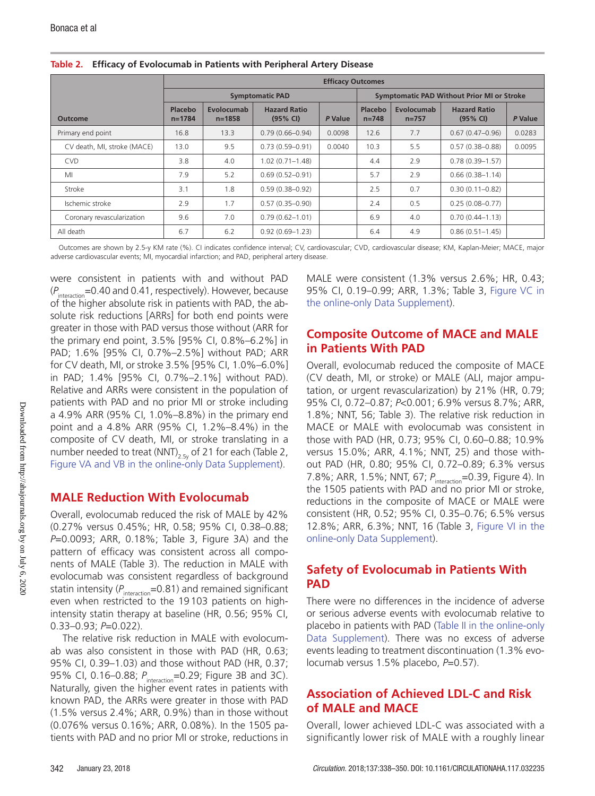|                             | <b>Efficacy Outcomes</b> |                                                                        |                     |                      |                         |                                                   |                     |        |  |  |
|-----------------------------|--------------------------|------------------------------------------------------------------------|---------------------|----------------------|-------------------------|---------------------------------------------------|---------------------|--------|--|--|
|                             | <b>Symptomatic PAD</b>   |                                                                        |                     |                      |                         | <b>Symptomatic PAD Without Prior MI or Stroke</b> |                     |        |  |  |
| <b>Outcome</b>              | Placebo<br>$n = 1784$    | Evolocumab<br><b>Hazard Ratio</b><br>(95% CI)<br>P Value<br>$n = 1858$ |                     | Placebo<br>$n = 748$ | Evolocumab<br>$n = 757$ | <b>Hazard Ratio</b><br>(95% CI)                   | P Value             |        |  |  |
| Primary end point           | 16.8                     | 13.3                                                                   | $0.79(0.66 - 0.94)$ | 0.0098               | 12.6                    | 7.7                                               | $0.67(0.47 - 0.96)$ | 0.0283 |  |  |
| CV death, MI, stroke (MACE) | 13.0                     | 9.5                                                                    | $0.73(0.59 - 0.91)$ | 0.0040               | 10.3                    | 5.5                                               | $0.57(0.38 - 0.88)$ | 0.0095 |  |  |
| <b>CVD</b>                  | 3.8                      | 4.0                                                                    | $1.02(0.71 - 1.48)$ |                      | 4.4                     | 2.9                                               | $0.78(0.39 - 1.57)$ |        |  |  |
| MI                          | 7.9                      | 5.2                                                                    | $0.69(0.52 - 0.91)$ |                      | 5.7                     | 2.9                                               | $0.66(0.38 - 1.14)$ |        |  |  |
| Stroke                      | 3.1                      | 1.8                                                                    | $0.59(0.38 - 0.92)$ |                      | 2.5                     | 0.7                                               | $0.30(0.11 - 0.82)$ |        |  |  |
| Ischemic stroke             | 2.9                      | 1.7                                                                    | $0.57(0.35 - 0.90)$ |                      | 2.4                     | 0.5                                               | $0.25(0.08 - 0.77)$ |        |  |  |
| Coronary revascularization  | 9.6                      | 7.0                                                                    | $0.79(0.62 - 1.01)$ |                      | 6.9                     | 4.0                                               | $0.70(0.44 - 1.13)$ |        |  |  |
| All death                   | 6.7                      | 6.2                                                                    | $0.92(0.69 - 1.23)$ |                      | 6.4                     | 4.9                                               | $0.86(0.51 - 1.45)$ |        |  |  |

|  |  |  | Table 2. Efficacy of Evolocumab in Patients with Peripheral Artery Disease |  |
|--|--|--|----------------------------------------------------------------------------|--|
|  |  |  |                                                                            |  |

Outcomes are shown by 2.5-y KM rate (%). CI indicates confidence interval; CV, cardiovascular; CVD, cardiovascular disease; KM, Kaplan-Meier; MACE, major adverse cardiovascular events; MI, myocardial infarction; and PAD, peripheral artery disease.

were consistent in patients with and without PAD (*P*interaction=0.40 and 0.41, respectively). However, because of the higher absolute risk in patients with PAD, the absolute risk reductions [ARRs] for both end points were greater in those with PAD versus those without (ARR for the primary end point, 3.5% [95% CI, 0.8%–6.2%] in PAD; 1.6% [95% CI, 0.7%–2.5%] without PAD; ARR for CV death, MI, or stroke 3.5% [95% CI, 1.0%–6.0%] in PAD; 1.4% [95% CI, 0.7%–2.1%] without PAD). Relative and ARRs were consistent in the population of patients with PAD and no prior MI or stroke including a 4.9% ARR (95% CI, 1.0%–8.8%) in the primary end point and a 4.8% ARR (95% CI, 1.2%–8.4%) in the composite of CV death, MI, or stroke translating in a number needed to treat (NNT) $_{2.5v}$  of 21 for each (Table 2, Figure VA and VB in the online-only Data Supplement).

#### **MALE Reduction With Evolocumab**

Overall, evolocumab reduced the risk of MALE by 42% (0.27% versus 0.45%; HR, 0.58; 95% CI, 0.38–0.88; *P*=0.0093; ARR, 0.18%; Table 3, Figure 3A) and the pattern of efficacy was consistent across all components of MALE (Table 3). The reduction in MALE with evolocumab was consistent regardless of background statin intensity  $(P_{\text{interaction}}=0.81)$  and remained significant even when restricted to the 19103 patients on highintensity statin therapy at baseline (HR, 0.56; 95% CI, 0.33–0.93; *P*=0.022).

The relative risk reduction in MALE with evolocumab was also consistent in those with PAD (HR, 0.63; 95% CI, 0.39–1.03) and those without PAD (HR, 0.37; 95% CI, 0.16–0.88;  $P_{\text{interaction}}$ =0.29; Figure 3B and 3C). Naturally, given the higher event rates in patients with known PAD, the ARRs were greater in those with PAD (1.5% versus 2.4%; ARR, 0.9%) than in those without (0.076% versus 0.16%; ARR, 0.08%). In the 1505 patients with PAD and no prior MI or stroke, reductions in

MALE were consistent (1.3% versus 2.6%; HR, 0.43; 95% CI, 0.19–0.99; ARR, 1.3%; Table 3, Figure VC in the online-only Data Supplement).

#### **Composite Outcome of MACE and MALE in Patients With PAD**

Overall, evolocumab reduced the composite of MACE (CV death, MI, or stroke) or MALE (ALI, major amputation, or urgent revascularization) by 21% (HR, 0.79; 95% CI, 0.72–0.87; *P*<0.001; 6.9% versus 8.7%; ARR, 1.8%; NNT, 56; Table 3). The relative risk reduction in MACE or MALE with evolocumab was consistent in those with PAD (HR, 0.73; 95% CI, 0.60–0.88; 10.9% versus 15.0%; ARR, 4.1%; NNT, 25) and those without PAD (HR, 0.80; 95% CI, 0.72–0.89; 6.3% versus 7.8%; ARR, 1.5%; NNT, 67;  $P_{\text{interaction}} = 0.39$ , Figure 4). In the 1505 patients with PAD and no prior MI or stroke, reductions in the composite of MACE or MALE were consistent (HR, 0.52; 95% CI, 0.35–0.76; 6.5% versus 12.8%; ARR, 6.3%; NNT, 16 (Table 3, Figure VI in the online-only Data Supplement).

#### **Safety of Evolocumab in Patients With PAD**

There were no differences in the incidence of adverse or serious adverse events with evolocumab relative to placebo in patients with PAD (Table II in the online-only Data Supplement). There was no excess of adverse events leading to treatment discontinuation (1.3% evolocumab versus 1.5% placebo, *P*=0.57).

#### **Association of Achieved LDL-C and Risk of MALE and MACE**

Overall, lower achieved LDL-C was associated with a significantly lower risk of MALE with a roughly linear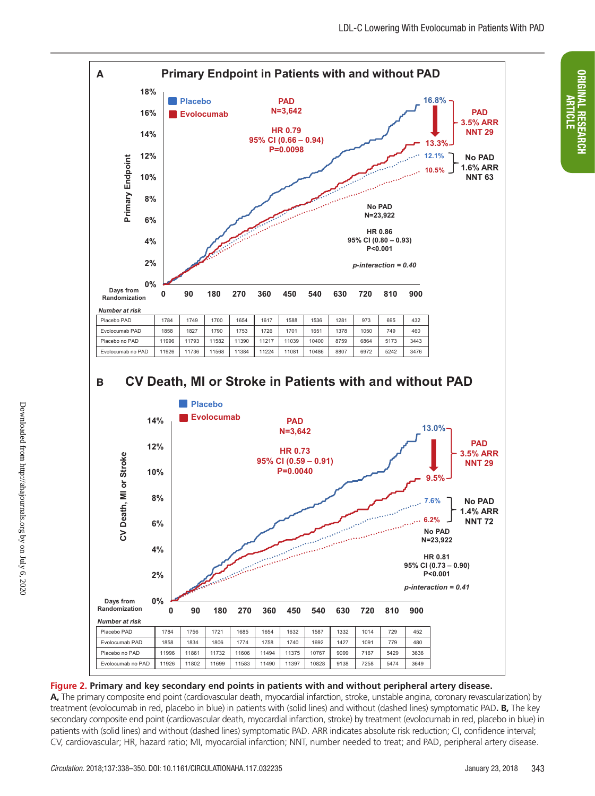ORIGINAL RESEARCH ARTICLE

**ORIGINAL RESEARCH** 



#### **Figure 2. Primary and key secondary end points in patients with and without peripheral artery disease.**

**A,** The primary composite end point (cardiovascular death, myocardial infarction, stroke, unstable angina, coronary revascularization) by treatment (evolocumab in red, placebo in blue) in patients with (solid lines) and without (dashed lines) symptomatic PAD**. B,** The key secondary composite end point (cardiovascular death, myocardial infarction, stroke) by treatment (evolocumab in red, placebo in blue) in patients with (solid lines) and without (dashed lines) symptomatic PAD. ARR indicates absolute risk reduction; CI, confidence interval; CV, cardiovascular; HR, hazard ratio; MI, myocardial infarction; NNT, number needed to treat; and PAD, peripheral artery disease.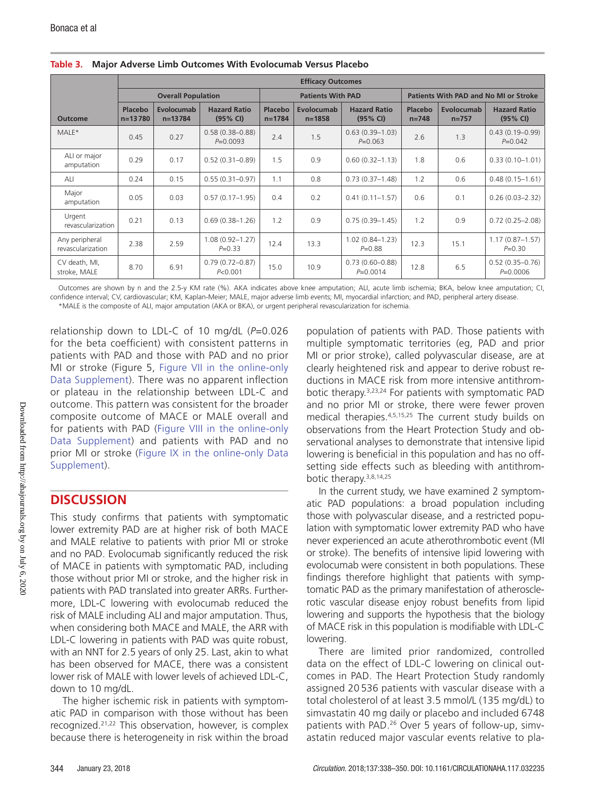|                                     | <b>Efficacy Outcomes</b> |                           |                                   |                              |                          |                                     |                                              |                       |                                   |
|-------------------------------------|--------------------------|---------------------------|-----------------------------------|------------------------------|--------------------------|-------------------------------------|----------------------------------------------|-----------------------|-----------------------------------|
|                                     |                          | <b>Overall Population</b> |                                   | <b>Patients With PAD</b>     |                          |                                     | <b>Patients With PAD and No MI or Stroke</b> |                       |                                   |
| <b>Outcome</b>                      | Placebo<br>$n = 13780$   | Evolocumab<br>$n = 13784$ | <b>Hazard Ratio</b><br>(95% CI)   | <b>Placebo</b><br>$n = 1784$ | Evolocumab<br>$n = 1858$ | <b>Hazard Ratio</b><br>(95% CI)     | Placebo<br>$n = 748$                         | Evolocumab<br>$n=757$ | <b>Hazard Ratio</b><br>(95% CI)   |
| MALE*                               | 0.45                     | 0.27                      | $0.58(0.38 - 0.88)$<br>$P=0.0093$ | 2.4                          | 1.5                      | $0.63(0.39 - 1.03)$<br>$P=0.063$    | 2.6                                          | 1.3                   | $0.43(0.19 - 0.99)$<br>$P=0.042$  |
| ALI or major<br>amputation          | 0.29                     | 0.17                      | $0.52(0.31 - 0.89)$               | 1.5                          | 0.9                      | $0.60(0.32 - 1.13)$                 | 1.8                                          | 0.6                   | $0.33(0.10-1.01)$                 |
| ALI                                 | 0.24                     | 0.15                      | $0.55(0.31 - 0.97)$               | 1.1                          | 0.8                      | $0.73(0.37 - 1.48)$                 | 1.2                                          | 0.6                   | $0.48(0.15 - 1.61)$               |
| Major<br>amputation                 | 0.05                     | 0.03                      | $0.57(0.17 - 1.95)$               | 0.4                          | 0.2                      | $0.41(0.11 - 1.57)$                 | 0.6                                          | 0.1                   | $0.26(0.03 - 2.32)$               |
| Urgent<br>revascularization         | 0.21                     | 0.13                      | $0.69(0.38 - 1.26)$               | 1.2                          | 0.9                      | $0.75(0.39 - 1.45)$                 | 1.2                                          | 0.9                   | $0.72(0.25 - 2.08)$               |
| Any peripheral<br>revascularization | 2.38                     | 2.59                      | $1.08(0.92 - 1.27)$<br>$P = 0.33$ | 12.4                         | 13.3                     | $1.02(0.84 - 1.23)$<br>$P = 0.88$   | 12.3                                         | 15.1                  | $1.17(0.87 - 1.57)$<br>$P = 0.30$ |
| CV death, MI,<br>stroke, MALE       | 8.70                     | 6.91                      | $0.79(0.72 - 0.87)$<br>P < 0.001  | 15.0                         | 10.9                     | $0.73(0.60 - 0.88)$<br>$P = 0.0014$ | 12.8                                         | 6.5                   | $0.52(0.35 - 0.76)$<br>$P=0.0006$ |

**Table 3. Major Adverse Limb Outcomes With Evolocumab Versus Placebo**

Outcomes are shown by n and the 2.5-y KM rate (%). AKA indicates above knee amputation; ALI, acute limb ischemia; BKA, below knee amputation; CI, confidence interval; CV, cardiovascular; KM, Kaplan-Meier; MALE, major adverse limb events; MI, myocardial infarction; and PAD, peripheral artery disease. \*MALE is the composite of ALI, major amputation (AKA or BKA), or urgent peripheral revascularization for ischemia.

relationship down to LDL-C of 10 mg/dL (*P*=0.026 for the beta coefficient) with consistent patterns in patients with PAD and those with PAD and no prior MI or stroke (Figure 5, Figure VII in the online-only Data Supplement). There was no apparent inflection or plateau in the relationship between LDL-C and outcome. This pattern was consistent for the broader composite outcome of MACE or MALE overall and for patients with PAD (Figure VIII in the online-only Data Supplement) and patients with PAD and no prior MI or stroke (Figure IX in the online-only Data Supplement).

#### **DISCUSSION**

This study confirms that patients with symptomatic lower extremity PAD are at higher risk of both MACE and MALE relative to patients with prior MI or stroke and no PAD. Evolocumab significantly reduced the risk of MACE in patients with symptomatic PAD, including those without prior MI or stroke, and the higher risk in patients with PAD translated into greater ARRs. Furthermore, LDL-C lowering with evolocumab reduced the risk of MALE including ALI and major amputation. Thus, when considering both MACE and MALE, the ARR with LDL-C lowering in patients with PAD was quite robust, with an NNT for 2.5 years of only 25. Last, akin to what has been observed for MACE, there was a consistent lower risk of MALE with lower levels of achieved LDL-C, down to 10 mg/dL.

The higher ischemic risk in patients with symptomatic PAD in comparison with those without has been recognized.21,22 This observation, however, is complex because there is heterogeneity in risk within the broad

population of patients with PAD. Those patients with multiple symptomatic territories (eg, PAD and prior MI or prior stroke), called polyvascular disease, are at clearly heightened risk and appear to derive robust reductions in MACE risk from more intensive antithrombotic therapy.3,23,24 For patients with symptomatic PAD and no prior MI or stroke, there were fewer proven medical therapies.4,5,15,25 The current study builds on observations from the Heart Protection Study and observational analyses to demonstrate that intensive lipid lowering is beneficial in this population and has no offsetting side effects such as bleeding with antithrombotic therapy.3,8,14,25

In the current study, we have examined 2 symptomatic PAD populations: a broad population including those with polyvascular disease, and a restricted population with symptomatic lower extremity PAD who have never experienced an acute atherothrombotic event (MI or stroke). The benefits of intensive lipid lowering with evolocumab were consistent in both populations. These findings therefore highlight that patients with symptomatic PAD as the primary manifestation of atherosclerotic vascular disease enjoy robust benefits from lipid lowering and supports the hypothesis that the biology of MACE risk in this population is modifiable with LDL-C lowering.

There are limited prior randomized, controlled data on the effect of LDL-C lowering on clinical outcomes in PAD. The Heart Protection Study randomly assigned 20 536 patients with vascular disease with a total cholesterol of at least 3.5 mmol/L (135 mg/dL) to simvastatin 40 mg daily or placebo and included 6748 patients with PAD.<sup>26</sup> Over 5 years of follow-up, simvastatin reduced major vascular events relative to pla-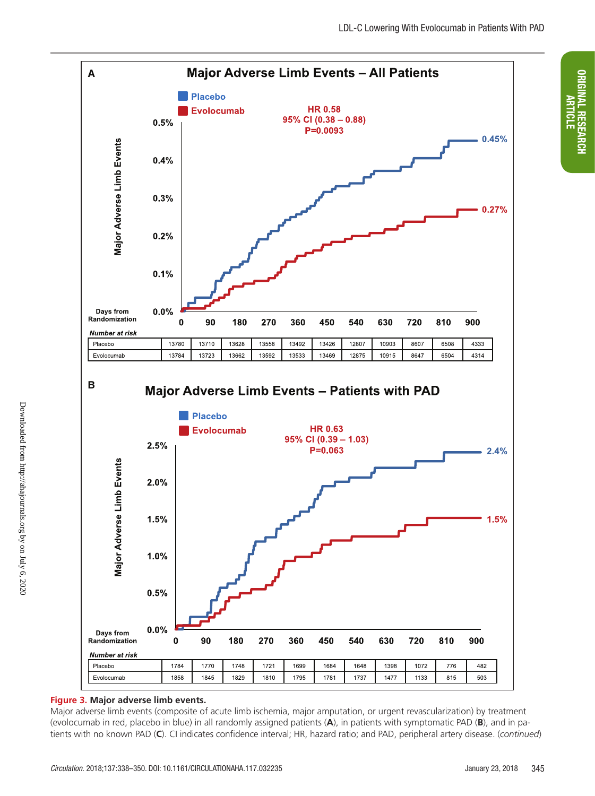ORIGINAL RESEARCH ARTICLE

**ORIGINAL RESEARCH** 



#### **Figure 3. Major adverse limb events.**

Major adverse limb events (composite of acute limb ischemia, major amputation, or urgent revascularization) by treatment (evolocumab in red, placebo in blue) in all randomly assigned patients (**A**), in patients with symptomatic PAD (**B**), and in patients with no known PAD (**C**). CI indicates confidence interval; HR, hazard ratio; and PAD, peripheral artery disease. (*continued*)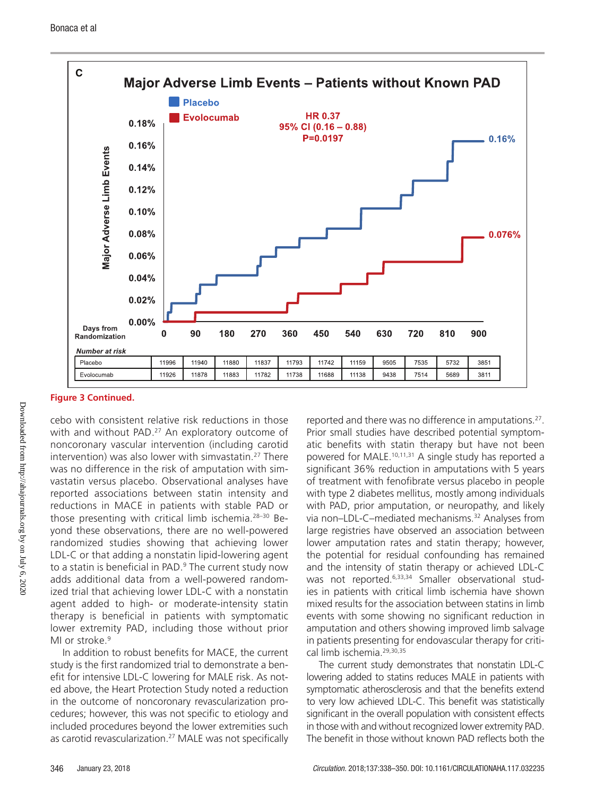

#### **Figure 3 Continued.**

cebo with consistent relative risk reductions in those with and without PAD.<sup>27</sup> An exploratory outcome of noncoronary vascular intervention (including carotid intervention) was also lower with simvastatin.<sup>27</sup> There was no difference in the risk of amputation with simvastatin versus placebo. Observational analyses have reported associations between statin intensity and reductions in MACE in patients with stable PAD or those presenting with critical limb ischemia.28–30 Beyond these observations, there are no well-powered randomized studies showing that achieving lower LDL-C or that adding a nonstatin lipid-lowering agent to a statin is beneficial in PAD.<sup>9</sup> The current study now adds additional data from a well-powered randomized trial that achieving lower LDL-C with a nonstatin agent added to high- or moderate-intensity statin therapy is beneficial in patients with symptomatic lower extremity PAD, including those without prior MI or stroke.<sup>9</sup>

In addition to robust benefits for MACE, the current study is the first randomized trial to demonstrate a benefit for intensive LDL-C lowering for MALE risk. As noted above, the Heart Protection Study noted a reduction in the outcome of noncoronary revascularization procedures; however, this was not specific to etiology and included procedures beyond the lower extremities such as carotid revascularization.27 MALE was not specifically

reported and there was no difference in amputations.<sup>27</sup>. Prior small studies have described potential symptomatic benefits with statin therapy but have not been powered for MALE.<sup>10,11,31</sup> A single study has reported a significant 36% reduction in amputations with 5 years of treatment with fenofibrate versus placebo in people with type 2 diabetes mellitus, mostly among individuals with PAD, prior amputation, or neuropathy, and likely via non–LDL-C–mediated mechanisms.<sup>32</sup> Analyses from large registries have observed an association between lower amputation rates and statin therapy; however, the potential for residual confounding has remained and the intensity of statin therapy or achieved LDL-C was not reported.<sup>6,33,34</sup> Smaller observational studies in patients with critical limb ischemia have shown mixed results for the association between statins in limb events with some showing no significant reduction in amputation and others showing improved limb salvage in patients presenting for endovascular therapy for critical limb ischemia.<sup>29,30,35</sup>

The current study demonstrates that nonstatin LDL-C lowering added to statins reduces MALE in patients with symptomatic atherosclerosis and that the benefits extend to very low achieved LDL-C. This benefit was statistically significant in the overall population with consistent effects in those with and without recognized lower extremity PAD. The benefit in those without known PAD reflects both the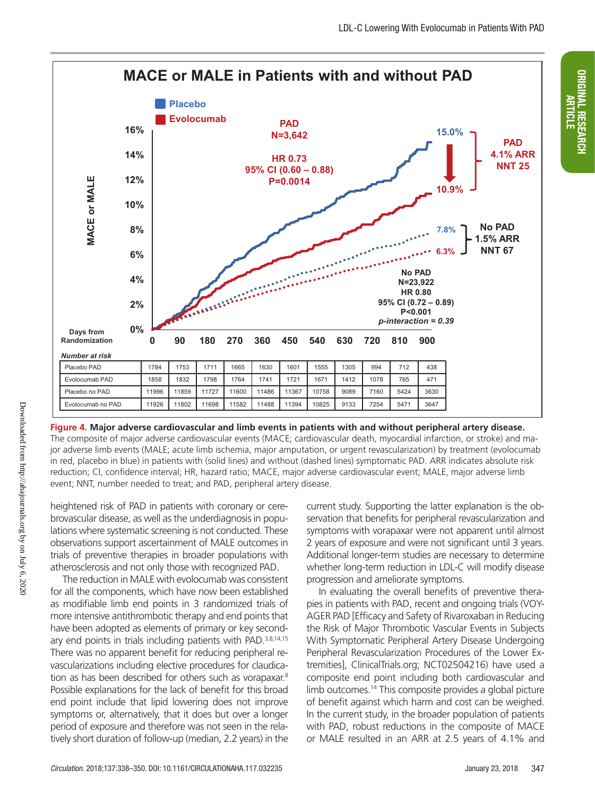ORIGINAL RESEARCH ARTICLE

**ORIGINAL RESEARCH** 



**Figure 4. Major adverse cardiovascular and limb events in patients with and without peripheral artery disease.** The composite of major adverse cardiovascular events (MACE; cardiovascular death, myocardial infarction, or stroke) and major adverse limb events (MALE; acute limb ischemia, major amputation, or urgent revascularization) by treatment (evolocumab in red, placebo in blue) in patients with (solid lines) and without (dashed lines) symptomatic PAD. ARR indicates absolute risk reduction; CI, confidence interval; HR, hazard ratio; MACE, major adverse cardiovascular event; MALE, major adverse limb event; NNT, number needed to treat; and PAD, peripheral artery disease.

heightened risk of PAD in patients with coronary or cerebrovascular disease, as well as the underdiagnosis in populations where systematic screening is not conducted. These observations support ascertainment of MALE outcomes in trials of preventive therapies in broader populations with atherosclerosis and not only those with recognized PAD.

The reduction in MALE with evolocumab was consistent for all the components, which have now been established as modifiable limb end points in 3 randomized trials of more intensive antithrombotic therapy and end points that have been adopted as elements of primary or key secondary end points in trials including patients with PAD.<sup>3,8,14,15</sup> There was no apparent benefit for reducing peripheral revascularizations including elective procedures for claudication as has been described for others such as vorapaxar.<sup>8</sup> Possible explanations for the lack of benefit for this broad end point include that lipid lowering does not improve symptoms or, alternatively, that it does but over a longer period of exposure and therefore was not seen in the relatively short duration of follow-up (median, 2.2 years) in the

current study. Supporting the latter explanation is the observation that benefits for peripheral revascularization and symptoms with vorapaxar were not apparent until almost 2 years of exposure and were not significant until 3 years. Additional longer-term studies are necessary to determine whether long-term reduction in LDL-C will modify disease progression and ameliorate symptoms.

In evaluating the overall benefits of preventive therapies in patients with PAD, recent and ongoing trials (VOY-AGER PAD [Efficacy and Safety of Rivaroxaban in Reducing the Risk of Major Thrombotic Vascular Events in Subjects With Symptomatic Peripheral Artery Disease Undergoing Peripheral Revascularization Procedures of the Lower Extremities], ClinicalTrials.org; NCT02504216) have used a composite end point including both cardiovascular and limb outcomes.<sup>14</sup> This composite provides a global picture of benefit against which harm and cost can be weighed. In the current study, in the broader population of patients with PAD, robust reductions in the composite of MACE or MALE resulted in an ARR at 2.5 years of 4.1% and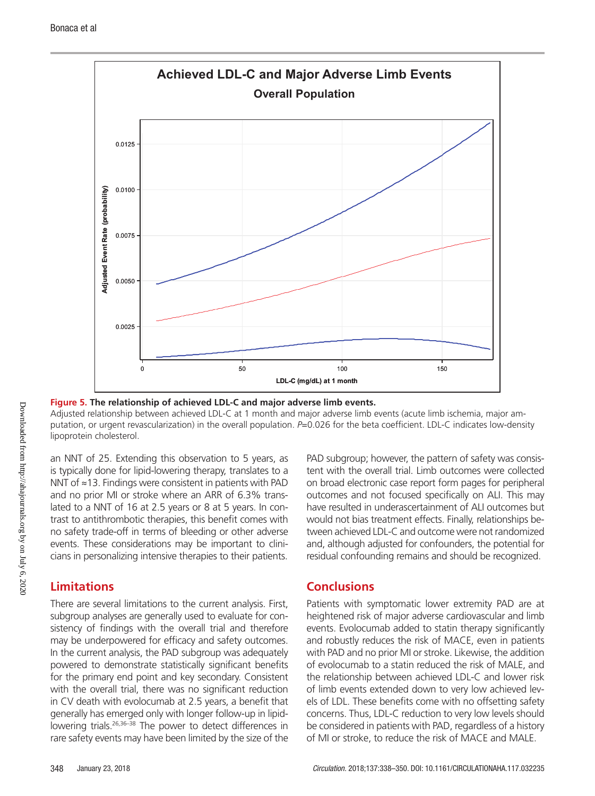

**Figure 5. The relationship of achieved LDL-C and major adverse limb events.** Adjusted relationship between achieved LDL-C at 1 month and major adverse limb events (acute limb ischemia, major amputation, or urgent revascularization) in the overall population. *P*=0.026 for the beta coefficient. LDL-C indicates low-density lipoprotein cholesterol.

an NNT of 25. Extending this observation to 5 years, as is typically done for lipid-lowering therapy, translates to a NNT of ≈13. Findings were consistent in patients with PAD and no prior MI or stroke where an ARR of 6.3% translated to a NNT of 16 at 2.5 years or 8 at 5 years. In contrast to antithrombotic therapies, this benefit comes with no safety trade-off in terms of bleeding or other adverse events. These considerations may be important to clinicians in personalizing intensive therapies to their patients.

#### **Limitations**

There are several limitations to the current analysis. First, subgroup analyses are generally used to evaluate for consistency of findings with the overall trial and therefore may be underpowered for efficacy and safety outcomes. In the current analysis, the PAD subgroup was adequately powered to demonstrate statistically significant benefits for the primary end point and key secondary. Consistent with the overall trial, there was no significant reduction in CV death with evolocumab at 2.5 years, a benefit that generally has emerged only with longer follow-up in lipidlowering trials.<sup>26,36–38</sup> The power to detect differences in rare safety events may have been limited by the size of the

PAD subgroup; however, the pattern of safety was consistent with the overall trial. Limb outcomes were collected on broad electronic case report form pages for peripheral outcomes and not focused specifically on ALI. This may have resulted in underascertainment of ALI outcomes but would not bias treatment effects. Finally, relationships between achieved LDL-C and outcome were not randomized and, although adjusted for confounders, the potential for residual confounding remains and should be recognized.

#### **Conclusions**

Patients with symptomatic lower extremity PAD are at heightened risk of major adverse cardiovascular and limb events. Evolocumab added to statin therapy significantly and robustly reduces the risk of MACE, even in patients with PAD and no prior MI or stroke. Likewise, the addition of evolocumab to a statin reduced the risk of MALE, and the relationship between achieved LDL-C and lower risk of limb events extended down to very low achieved levels of LDL. These benefits come with no offsetting safety concerns. Thus, LDL-C reduction to very low levels should be considered in patients with PAD, regardless of a history of MI or stroke, to reduce the risk of MACE and MALE.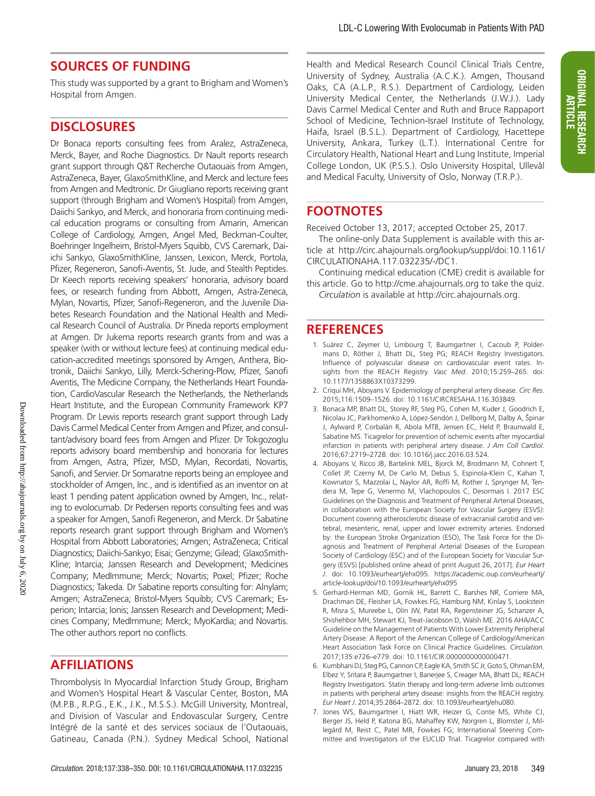#### **SOURCES OF FUNDING**

This study was supported by a grant to Brigham and Women's Hospital from Amgen.

#### **DISCLOSURES**

Dr Bonaca reports consulting fees from Aralez, AstraZeneca, Merck, Bayer, and Roche Diagnostics. Dr Nault reports research grant support through Q&T Recherche Outaouais from Amgen, AstraZeneca, Bayer, GlaxoSmithKline, and Merck and lecture fees from Amgen and Medtronic. Dr Giugliano reports receiving grant support (through Brigham and Women's Hospital) from Amgen, Daiichi Sankyo, and Merck, and honoraria from continuing medical education programs or consulting from Amarin, American College of Cardiology, Amgen, Angel Med, Beckman-Coulter, Boehringer Ingelheim, Bristol-Myers Squibb, CVS Caremark, Daiichi Sankyo, GlaxoSmithKline, Janssen, Lexicon, Merck, Portola, Pfizer, Regeneron, Sanofi-Aventis, St. Jude, and Stealth Peptides. Dr Keech reports receiving speakers' honoraria, advisory board fees, or research funding from Abbott, Amgen, Astra-Zeneca, Mylan, Novartis, Pfizer, Sanofi-Regeneron, and the Juvenile Diabetes Research Foundation and the National Health and Medical Research Council of Australia. Dr Pineda reports employment at Amgen. Dr Jukema reports research grants from and was a speaker (with or without lecture fees) at continuing medical education-accredited meetings sponsored by Amgen, Anthera, Biotronik, Daiichi Sankyo, Lilly, Merck-Schering-Plow, Pfizer, Sanofi Aventis, The Medicine Company, the Netherlands Heart Foundation, CardioVascular Research the Netherlands, the Netherlands Heart Institute, and the European Community Framework KP7 Program. Dr Lewis reports research grant support through Lady Davis Carmel Medical Center from Amgen and Pfizer, and consultant/advisory board fees from Amgen and Pfizer. Dr Tokgozoglu reports advisory board membership and honoraria for lectures from Amgen, Astra, Pfizer, MSD, Mylan, Recordati, Novartis, Sanofi, and Servier. Dr Somaratne reports being an employee and stockholder of Amgen, Inc., and is identified as an inventor on at least 1 pending patent application owned by Amgen, Inc., relating to evolocumab. Dr Pedersen reports consulting fees and was a speaker for Amgen, Sanofi Regeneron, and Merck. Dr Sabatine reports research grant support through Brigham and Women's Hospital from Abbott Laboratories; Amgen; AstraZeneca; Critical Diagnostics; Daiichi-Sankyo; Eisai; Genzyme; Gilead; GlaxoSmith-Kline; Intarcia; Janssen Research and Development; Medicines Company; MedImmune; Merck; Novartis; Poxel; Pfizer; Roche Diagnostics; Takeda. Dr Sabatine reports consulting for: Alnylam; Amgen; AstraZeneca; Bristol-Myers Squibb; CVS Caremark; Esperion; Intarcia; Ionis; Janssen Research and Development; Medicines Company; MedImmune; Merck; MyoKardia; and Novartis. The other authors report no conflicts.

#### **AFFILIATIONS**

Thrombolysis In Myocardial Infarction Study Group, Brigham and Women's Hospital Heart & Vascular Center, Boston, MA (M.P.B., R.P.G., E.K., J.K., M.S.S.). McGill University, Montreal, and Division of Vascular and Endovascular Surgery, Centre Intégré de la santé et des services sociaux de l'Outaouais, Gatineau, Canada (P.N.). Sydney Medical School, National Health and Medical Research Council Clinical Trials Centre, University of Sydney, Australia (A.C.K.). Amgen, Thousand Oaks, CA (A.L.P., R.S.). Department of Cardiology, Leiden University Medical Center, the Netherlands (J.W.J.). Lady Davis Carmel Medical Center and Ruth and Bruce Rappaport School of Medicine, Technion-Israel Institute of Technology, Haifa, Israel (B.S.L.). Department of Cardiology, Hacettepe University, Ankara, Turkey (L.T.). International Centre for Circulatory Health, National Heart and Lung Institute, Imperial

College London, UK (P.S.S.). Oslo University Hospital, Ullevål and Medical Faculty, University of Oslo, Norway (T.R.P.).

LDL-C Lowering With Evolocumab in Patients With PAD

#### **FOOTNOTES**

Received October 13, 2017; accepted October 25, 2017.

The online-only Data Supplement is available with this article at http://circ.ahajournals.org/lookup/suppl/doi:10.1161/ CIRCULATIONAHA.117.032235/-/DC1.

Continuing medical education (CME) credit is available for this article. Go to http://cme.ahajournals.org to take the quiz. *Circulation* is available at http://circ.ahajournals.org.

#### **REFERENCES**

- 1. Suárez C, Zeymer U, Limbourg T, Baumgartner I, Cacoub P, Poldermans D, Röther J, Bhatt DL, Steg PG; REACH Registry Investigators. Influence of polyvascular disease on cardiovascular event rates. Insights from the REACH Registry. *Vasc Med*. 2010;15:259–265. doi: 10.1177/1358863X10373299.
- 2. Criqui MH, Aboyans V. Epidemiology of peripheral artery disease. *Circ Res*. 2015;116:1509–1526. doi: 10.1161/CIRCRESAHA.116.303849.
- 3. Bonaca MP, Bhatt DL, Storey RF, Steg PG, Cohen M, Kuder J, Goodrich E, Nicolau JC, Parkhomenko A, López-Sendón J, Dellborg M, Dalby A, Špinar J, Aylward P, Corbalán R, Abola MTB, Jensen EC, Held P, Braunwald E, Sabatine MS. Ticagrelor for prevention of ischemic events after myocardial infarction in patients with peripheral artery disease. *J Am Coll Cardiol*. 2016;67:2719–2728. doi: 10.1016/j.jacc.2016.03.524.
- 4. Aboyans V, Ricco JB, Bartelink MEL, Bjorck M, Brodmann M, Cohnert T, Collet JP, Czerny M, De Carlo M, Debus S, Espinola-Klein C, Kahan T, Kownator S, Mazzolai L, Naylor AR, Roffi M, Rother J, Sprynger M, Tendera M, Tepe G, Venermo M, Vlachopoulos C, Desormais I. 2017 ESC Guidelines on the Diagnosis and Treatment of Peripheral Arterial Diseases, in collaboration with the European Society for Vascular Surgery (ESVS): Document covering atherosclerotic disease of extracranial carotid and vertebral, mesenteric, renal, upper and lower extremity arteries. Endorsed by: the European Stroke Organization (ESO), The Task Force for the Diagnosis and Treatment of Peripheral Arterial Diseases of the European Society of Cardiology (ESC) and of the European Society for Vascular Surgery (ESVS) [published online ahead of print August 26, 2017]. *Eur Heart J*. doi: 10.1093/eurheartj/ehx095. https://academic.oup.com/eurheartj/ article-lookup/doi/10.1093/eurheartj/ehx095
- 5. Gerhard-Herman MD, Gornik HL, Barrett C, Barshes NR, Corriere MA, Drachman DE, Fleisher LA, Fowkes FG, Hamburg NM, Kinlay S, Lookstein R, Misra S, Mureebe L, Olin JW, Patel RA, Regensteiner JG, Schanzer A, Shishehbor MH, Stewart KJ, Treat-Jacobson D, Walsh ME. 2016 AHA/ACC Guideline on the Management of Patients With Lower Extremity Peripheral Artery Disease: A Report of the American College of Cardiology/American Heart Association Task Force on Clinical Practice Guidelines. *Circulation*. 2017;135:e726–e779. doi: 10.1161/CIR.0000000000000471.
- 6. Kumbhani DJ, Steg PG, Cannon CP, Eagle KA, Smith SC Jr, Goto S, Ohman EM, Elbez Y, Sritara P, Baumgartner I, Banerjee S, Creager MA, Bhatt DL; REACH Registry Investigators. Statin therapy and long-term adverse limb outcomes in patients with peripheral artery disease: insights from the REACH registry. *Eur Heart J*. 2014;35:2864–2872. doi: 10.1093/eurheartj/ehu080.
- 7. Jones WS, Baumgartner I, Hiatt WR, Heizer G, Conte MS, White CJ, Berger JS, Held P, Katona BG, Mahaffey KW, Norgren L, Blomster J, Millegård M, Reist C, Patel MR, Fowkes FG; International Steering Committee and Investigators of the EUCLID Trial. Ticagrelor compared with